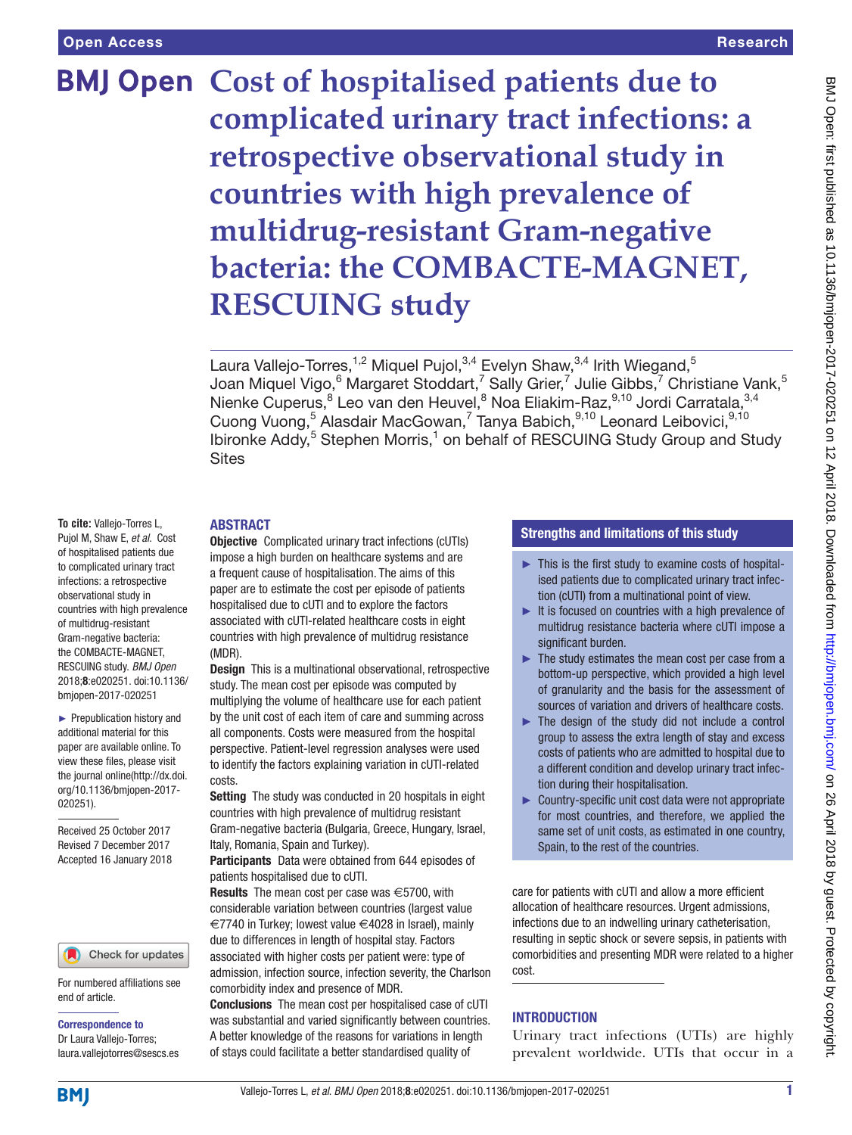# **BMJ Open Cost of hospitalised patients due to complicated urinary tract infections: a retrospective observational study in countries with high prevalence of multidrug-resistant Gram-negative bacteria: the COMBACTE-MAGNET, RESCUING study**

Laura Vallejo-Torres,<sup>1,2</sup> Miquel Pujol,  $3,4$  Evelyn Shaw,  $3,4$  Irith Wiegand,  $5$ Joan Miquel Vigo, $^6$  Margaret Stoddart, $^7$  Sally Grier, $^7$  Julie Gibbs, $^7$  Christiane Vank, $^5$ Nienke Cuperus,<sup>8</sup> Leo van den Heuvel,<sup>8</sup> Noa Eliakim-Raz,<sup>9,10</sup> Jordi Carratala,<sup>3,4</sup> Cuong Vuong,<sup>5</sup> Alasdair MacGowan,<sup>7</sup> Tanya Babich,<sup>9,10</sup> Leonard Leibovici,<sup>9,10</sup> Ibironke Addy,<sup>5</sup> Stephen Morris,<sup>1</sup> on behalf of RESCUING Study Group and Study **Sites** 

#### **ABSTRACT**

**To cite:** Vallejo-Torres L, Pujol M, Shaw E, *et al*. Cost of hospitalised patients due to complicated urinary tract infections: a retrospective observational study in countries with high prevalence of multidrug-resistant Gram-negative bacteria: the COMBACTE-MAGNET, RESCUING study. *BMJ Open* 2018;8:e020251. doi:10.1136/ bmjopen-2017-020251

► Prepublication history and additional material for this paper are available online. To view these files, please visit the journal online([http://dx.doi.](http://dx.doi.org/10.1136/bmjopen-2017-020251) [org/10.1136/bmjopen-2017-](http://dx.doi.org/10.1136/bmjopen-2017-020251) [020251\)](http://dx.doi.org/10.1136/bmjopen-2017-020251).

Received 25 October 2017 Revised 7 December 2017 Accepted 16 January 2018

#### Check for updates

For numbered affiliations see end of article.

#### Correspondence to

Dr Laura Vallejo-Torres; laura.vallejotorres@sescs.es Objective Complicated urinary tract infections (cUTIs) impose a high burden on healthcare systems and are a frequent cause of hospitalisation. The aims of this paper are to estimate the cost per episode of patients hospitalised due to cUTI and to explore the factors associated with cUTI-related healthcare costs in eight countries with high prevalence of multidrug resistance (MDR).

Design This is a multinational observational, retrospective study. The mean cost per episode was computed by multiplying the volume of healthcare use for each patient by the unit cost of each item of care and summing across all components. Costs were measured from the hospital perspective. Patient-level regression analyses were used to identify the factors explaining variation in cUTI-related costs.

Setting The study was conducted in 20 hospitals in eight countries with high prevalence of multidrug resistant Gram-negative bacteria (Bulgaria, Greece, Hungary, Israel, Italy, Romania, Spain and Turkey).

Participants Data were obtained from 644 episodes of patients hospitalised due to cUTI.

Results The mean cost per case was  $\in$  5700, with considerable variation between countries (largest value €7740 in Turkey; lowest value €4028 in Israel), mainly due to differences in length of hospital stay. Factors associated with higher costs per patient were: type of admission, infection source, infection severity, the Charlson comorbidity index and presence of MDR.

Conclusions The mean cost per hospitalised case of cUTI was substantial and varied significantly between countries. A better knowledge of the reasons for variations in length of stays could facilitate a better standardised quality of

### Strengths and limitations of this study

- ► This is the first study to examine costs of hospitalised patients due to complicated urinary tract infection (cUTI) from a multinational point of view.
- $\blacktriangleright$  It is focused on countries with a high prevalence of multidrug resistance bacteria where cUTI impose a significant burden.
- $\blacktriangleright$  The study estimates the mean cost per case from a bottom-up perspective, which provided a high level of granularity and the basis for the assessment of sources of variation and drivers of healthcare costs.
- $\blacktriangleright$  The design of the study did not include a control group to assess the extra length of stay and excess costs of patients who are admitted to hospital due to a different condition and develop urinary tract infection during their hospitalisation.
- ► Country-specific unit cost data were not appropriate for most countries, and therefore, we applied the same set of unit costs, as estimated in one country, Spain, to the rest of the countries.

care for patients with cUTI and allow a more efficient allocation of healthcare resources. Urgent admissions, infections due to an indwelling urinary catheterisation, resulting in septic shock or severe sepsis, in patients with comorbidities and presenting MDR were related to a higher cost.

## **INTRODUCTION**

Urinary tract infections (UTIs) are highly prevalent worldwide. UTIs that occur in a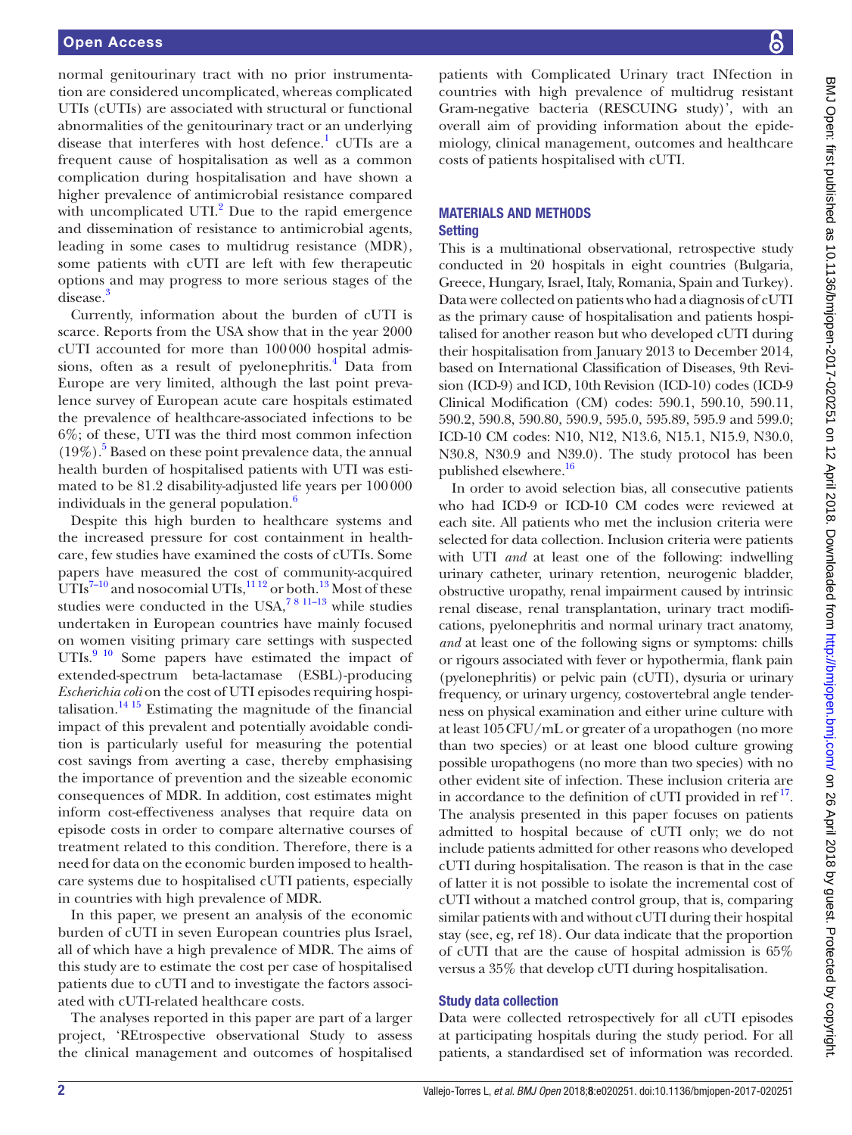normal genitourinary tract with no prior instrumentation are considered uncomplicated, whereas complicated UTIs (cUTIs) are associated with structural or functional abnormalities of the genitourinary tract or an underlying disease that interferes with host defence.<sup>[1](#page-7-0)</sup> cUTIs are a frequent cause of hospitalisation as well as a common complication during hospitalisation and have shown a higher prevalence of antimicrobial resistance compared with uncomplicated UTI.<sup>[2](#page-7-1)</sup> Due to the rapid emergence and dissemination of resistance to antimicrobial agents, leading in some cases to multidrug resistance (MDR), some patients with cUTI are left with few therapeutic options and may progress to more serious stages of the disease.<sup>[3](#page-7-2)</sup>

Currently, information about the burden of cUTI is scarce. Reports from the USA show that in the year 2000 cUTI accounted for more than 100000 hospital admissions, often as a result of pyelonephritis.<sup>4</sup> Data from Europe are very limited, although the last point prevalence survey of European acute care hospitals estimated the prevalence of healthcare-associated infections to be 6%; of these, UTI was the third most common infection  $(19\%)$ .<sup>[5](#page-7-4)</sup> Based on these point prevalence data, the annual health burden of hospitalised patients with UTI was estimated to be 81.2 disability-adjusted life years per 100000 individuals in the general population.<sup>[6](#page-7-5)</sup>

Despite this high burden to healthcare systems and the increased pressure for cost containment in healthcare, few studies have examined the costs of cUTIs. Some papers have measured the cost of community-acquired  $\rm{UTIs}^{7-10}$  and nosocomial UTIs,  $^{11\,12}$  or both.<sup>13</sup> Most of these studies were conducted in the USA, $^{78}$ <sup>11-13</sup> while studies undertaken in European countries have mainly focused on women visiting primary care settings with suspected UTIs.<sup>9 10</sup> Some papers have estimated the impact of extended-spectrum beta-lactamase (ESBL)-producing *Escherichia coli* on the cost of UTI episodes requiring hospitalisation. $1415$  Estimating the magnitude of the financial impact of this prevalent and potentially avoidable condition is particularly useful for measuring the potential cost savings from averting a case, thereby emphasising the importance of prevention and the sizeable economic consequences of MDR. In addition, cost estimates might inform cost-effectiveness analyses that require data on episode costs in order to compare alternative courses of treatment related to this condition. Therefore, there is a need for data on the economic burden imposed to healthcare systems due to hospitalised cUTI patients, especially in countries with high prevalence of MDR.

In this paper, we present an analysis of the economic burden of cUTI in seven European countries plus Israel, all of which have a high prevalence of MDR. The aims of this study are to estimate the cost per case of hospitalised patients due to cUTI and to investigate the factors associated with cUTI-related healthcare costs.

The analyses reported in this paper are part of a larger project, 'REtrospective observational Study to assess the clinical management and outcomes of hospitalised

patients with Complicated Urinary tract INfection in countries with high prevalence of multidrug resistant Gram-negative bacteria (RESCUING study)', with an overall aim of providing information about the epidemiology, clinical management, outcomes and healthcare costs of patients hospitalised with cUTI.

#### Materials and methods **Setting**

This is a multinational observational, retrospective study conducted in 20 hospitals in eight countries (Bulgaria, Greece, Hungary, Israel, Italy, Romania, Spain and Turkey). Data were collected on patients who had a diagnosis of cUTI as the primary cause of hospitalisation and patients hospitalised for another reason but who developed cUTI during their hospitalisation from January 2013 to December 2014, based on International Classification of Diseases, 9th Revision (ICD-9) and ICD, 10th Revision (ICD-10) codes (ICD-9 Clinical Modification (CM) codes: 590.1, 590.10, 590.11, 590.2, 590.8, 590.80, 590.9, 595.0, 595.89, 595.9 and 599.0; ICD-10 CM codes: N10, N12, N13.6, N15.1, N15.9, N30.0, N30.8, N30.9 and N39.0). The study protocol has been published elsewhere.<sup>16</sup>

In order to avoid selection bias, all consecutive patients who had ICD-9 or ICD-10 CM codes were reviewed at each site. All patients who met the inclusion criteria were selected for data collection. Inclusion criteria were patients with UTI *and* at least one of the following: indwelling urinary catheter, urinary retention, neurogenic bladder, obstructive uropathy, renal impairment caused by intrinsic renal disease, renal transplantation, urinary tract modifications, pyelonephritis and normal urinary tract anatomy, *and* at least one of the following signs or symptoms: chills or rigours associated with fever or hypothermia, flank pain (pyelonephritis) or pelvic pain (cUTI), dysuria or urinary frequency, or urinary urgency, costovertebral angle tenderness on physical examination and either urine culture with at least 105CFU/mL or greater of a uropathogen (no more than two species) or at least one blood culture growing possible uropathogens (no more than two species) with no other evident site of infection. These inclusion criteria are in accordance to the definition of cUTI provided in ref<sup>[17](#page-7-12)</sup>. The analysis presented in this paper focuses on patients admitted to hospital because of cUTI only; we do not include patients admitted for other reasons who developed cUTI during hospitalisation. The reason is that in the case of latter it is not possible to isolate the incremental cost of cUTI without a matched control group, that is, comparing similar patients with and without cUTI during their hospital stay (see, eg, ref [18](#page-7-13)). Our data indicate that the proportion of cUTI that are the cause of hospital admission is 65% versus a 35% that develop cUTI during hospitalisation.

# Study data collection

Data were collected retrospectively for all cUTI episodes at participating hospitals during the study period. For all patients, a standardised set of information was recorded.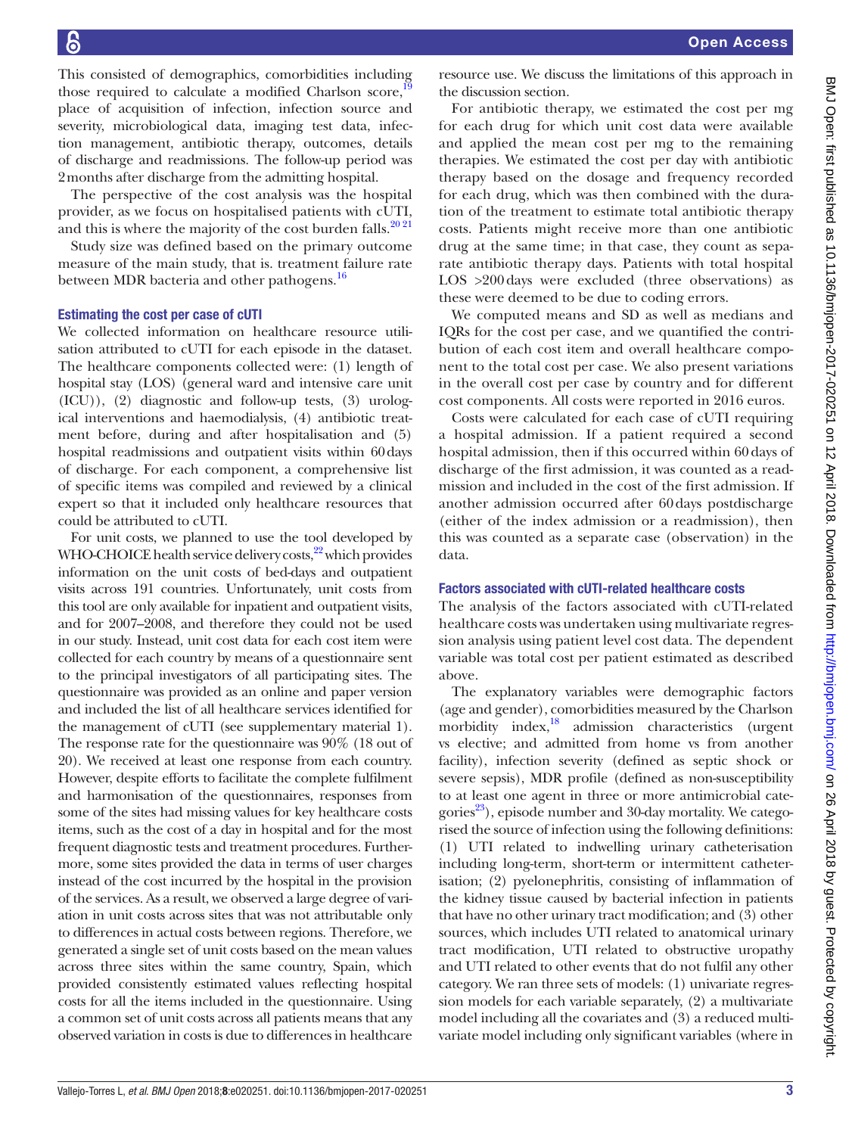This consisted of demographics, comorbidities including those required to calculate a modified Charlson score, $\frac{1}{2}$ place of acquisition of infection, infection source and severity, microbiological data, imaging test data, infection management, antibiotic therapy, outcomes, details of discharge and readmissions. The follow-up period was 2months after discharge from the admitting hospital.

The perspective of the cost analysis was the hospital provider, as we focus on hospitalised patients with cUTI, and this is where the majority of the cost burden falls. $20\frac{2}{1}$ 

Study size was defined based on the primary outcome measure of the main study, that is. treatment failure rate between MDR bacteria and other pathogens.<sup>16</sup>

#### Estimating the cost per case of cUTI

We collected information on healthcare resource utilisation attributed to cUTI for each episode in the dataset. The healthcare components collected were: (1) length of hospital stay (LOS) (general ward and intensive care unit (ICU)), (2) diagnostic and follow-up tests, (3) urological interventions and haemodialysis, (4) antibiotic treatment before, during and after hospitalisation and (5) hospital readmissions and outpatient visits within 60days of discharge. For each component, a comprehensive list of specific items was compiled and reviewed by a clinical expert so that it included only healthcare resources that could be attributed to cUTI.

For unit costs, we planned to use the tool developed by WHO-CHOICE health service delivery costs,<sup>22</sup> which provides information on the unit costs of bed-days and outpatient visits across 191 countries. Unfortunately, unit costs from this tool are only available for inpatient and outpatient visits, and for 2007–2008, and therefore they could not be used in our study. Instead, unit cost data for each cost item were collected for each country by means of a questionnaire sent to the principal investigators of all participating sites. The questionnaire was provided as an online and paper version and included the list of all healthcare services identified for the management of cUTI (see [supplementary material 1\)](https://dx.doi.org/10.1136/bmjopen-2017-020251). The response rate for the questionnaire was 90% (18 out of 20). We received at least one response from each country. However, despite efforts to facilitate the complete fulfilment and harmonisation of the questionnaires, responses from some of the sites had missing values for key healthcare costs items, such as the cost of a day in hospital and for the most frequent diagnostic tests and treatment procedures. Furthermore, some sites provided the data in terms of user charges instead of the cost incurred by the hospital in the provision of the services. As a result, we observed a large degree of variation in unit costs across sites that was not attributable only to differences in actual costs between regions. Therefore, we generated a single set of unit costs based on the mean values across three sites within the same country, Spain, which provided consistently estimated values reflecting hospital costs for all the items included in the questionnaire. Using a common set of unit costs across all patients means that any observed variation in costs is due to differences in healthcare

resource use. We discuss the limitations of this approach in the discussion section.

For antibiotic therapy, we estimated the cost per mg for each drug for which unit cost data were available and applied the mean cost per mg to the remaining therapies. We estimated the cost per day with antibiotic therapy based on the dosage and frequency recorded for each drug, which was then combined with the duration of the treatment to estimate total antibiotic therapy costs. Patients might receive more than one antibiotic drug at the same time; in that case, they count as separate antibiotic therapy days. Patients with total hospital LOS >200days were excluded (three observations) as these were deemed to be due to coding errors.

We computed means and SD as well as medians and IQRs for the cost per case, and we quantified the contribution of each cost item and overall healthcare component to the total cost per case. We also present variations in the overall cost per case by country and for different cost components. All costs were reported in 2016 euros.

Costs were calculated for each case of cUTI requiring a hospital admission. If a patient required a second hospital admission, then if this occurred within 60days of discharge of the first admission, it was counted as a readmission and included in the cost of the first admission. If another admission occurred after 60days postdischarge (either of the index admission or a readmission), then this was counted as a separate case (observation) in the data.

#### Factors associated with cUTI-related healthcare costs

The analysis of the factors associated with cUTI-related healthcare costs was undertaken using multivariate regression analysis using patient level cost data. The dependent variable was total cost per patient estimated as described above.

The explanatory variables were demographic factors (age and gender), comorbidities measured by the Charlson morbidity index, $^{18}$  admission characteristics (urgent vs elective; and admitted from home vs from another facility), infection severity (defined as septic shock or severe sepsis), MDR profile (defined as non-susceptibility to at least one agent in three or more antimicrobial categories<sup>23</sup>), episode number and 30-day mortality. We categorised the source of infection using the following definitions: (1) UTI related to indwelling urinary catheterisation including long-term, short-term or intermittent catheterisation; (2) pyelonephritis, consisting of inflammation of the kidney tissue caused by bacterial infection in patients that have no other urinary tract modification; and (3) other sources, which includes UTI related to anatomical urinary tract modification, UTI related to obstructive uropathy and UTI related to other events that do not fulfil any other category. We ran three sets of models: (1) univariate regression models for each variable separately, (2) a multivariate model including all the covariates and (3) a reduced multivariate model including only significant variables (where in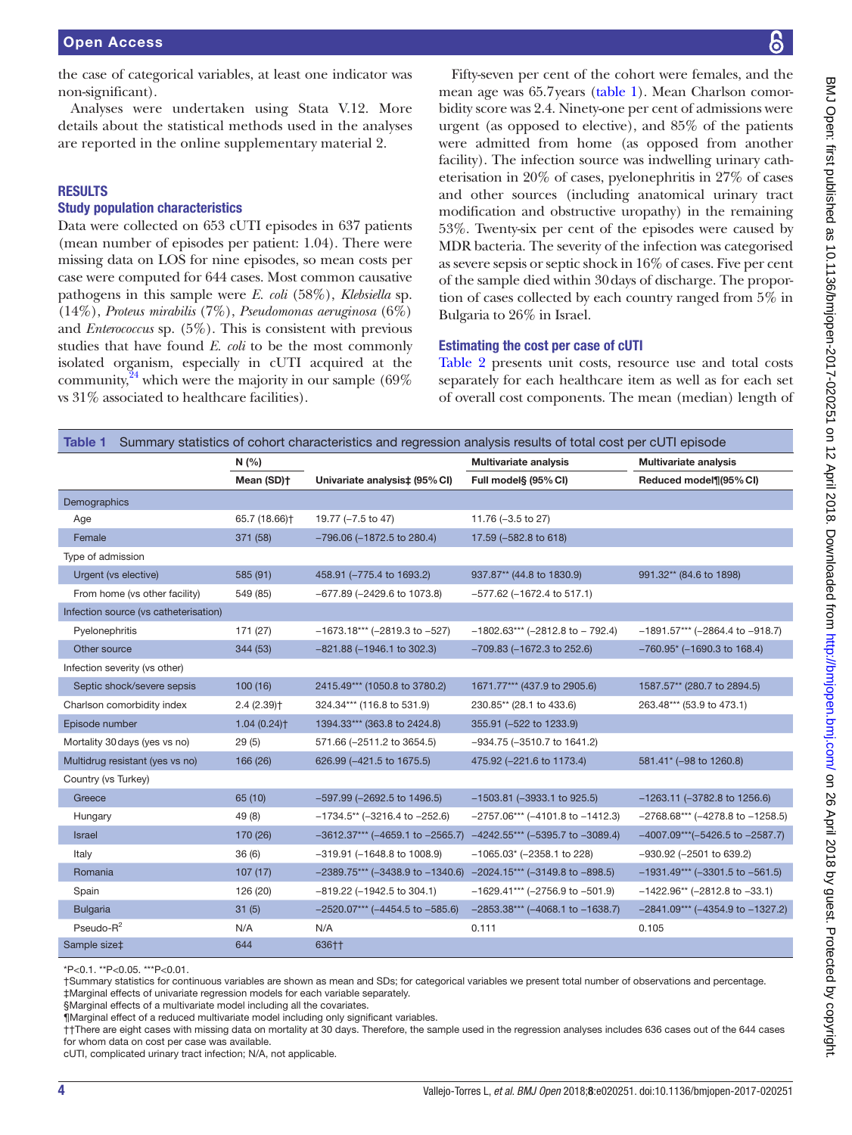the case of categorical variables, at least one indicator was non-significant).

Analyses were undertaken using Stata V.12. More details about the statistical methods used in the analyses are reported in the online [supplementary material 2](https://dx.doi.org/10.1136/bmjopen-2017-020251).

## **RESULTS**

#### Study population characteristics

Data were collected on 653 cUTI episodes in 637 patients (mean number of episodes per patient: 1.04). There were missing data on LOS for nine episodes, so mean costs per case were computed for 644 cases. Most common causative pathogens in this sample were *E. coli* (58%), *Klebsiella* sp. (14%), *Proteus mirabilis* (7%), *Pseudomonas aeruginosa* (6%) and *Enterococcus* sp. (5%). This is consistent with previous studies that have found *E. coli* to be the most commonly isolated organism, especially in cUTI acquired at the community,  $^{24}$  which were the majority in our sample (69%) vs 31% associated to healthcare facilities).

Fifty-seven per cent of the cohort were females, and the mean age was 65.7years ([table](#page-3-0) 1). Mean Charlson comorbidity score was 2.4. Ninety-one per cent of admissions were urgent (as opposed to elective), and 85% of the patients were admitted from home (as opposed from another facility). The infection source was indwelling urinary catheterisation in 20% of cases, pyelonephritis in 27% of cases and other sources (including anatomical urinary tract modification and obstructive uropathy) in the remaining 53%. Twenty-six per cent of the episodes were caused by MDR bacteria. The severity of the infection was categorised as severe sepsis or septic shock in 16% of cases. Five per cent of the sample died within 30days of discharge. The proportion of cases collected by each country ranged from 5% in Bulgaria to 26% in Israel.

#### Estimating the cost per case of cUTI

[Table](#page-4-0) 2 presents unit costs, resource use and total costs separately for each healthcare item as well as for each set of overall cost components. The mean (median) length of

<span id="page-3-0"></span>

| Summary statistics of cohort characteristics and regression analysis results of total cost per cUTI episode<br>Table 1 |                           |                                                                    |                                                                     |                                           |  |  |  |  |
|------------------------------------------------------------------------------------------------------------------------|---------------------------|--------------------------------------------------------------------|---------------------------------------------------------------------|-------------------------------------------|--|--|--|--|
|                                                                                                                        | N (%)                     |                                                                    | <b>Multivariate analysis</b>                                        | <b>Multivariate analysis</b>              |  |  |  |  |
|                                                                                                                        | Mean (SD)+                | Univariate analysis‡ (95% CI)                                      | Full model§ (95% CI)                                                | Reduced model¶(95% CI)                    |  |  |  |  |
| Demographics                                                                                                           |                           |                                                                    |                                                                     |                                           |  |  |  |  |
| Age                                                                                                                    | 65.7 (18.66) <sup>+</sup> | 19.77 (-7.5 to 47)                                                 | 11.76 (-3.5 to 27)                                                  |                                           |  |  |  |  |
| Female                                                                                                                 | 371 (58)                  | $-796.06$ ( $-1872.5$ to 280.4)                                    | 17.59 (-582.8 to 618)                                               |                                           |  |  |  |  |
| Type of admission                                                                                                      |                           |                                                                    |                                                                     |                                           |  |  |  |  |
| Urgent (vs elective)                                                                                                   | 585 (91)                  | 458.91 (-775.4 to 1693.2)                                          | 937.87** (44.8 to 1830.9)                                           | 991.32** (84.6 to 1898)                   |  |  |  |  |
| From home (vs other facility)                                                                                          | 549 (85)                  | -677.89 (-2429.6 to 1073.8)                                        | $-577.62$ ( $-1672.4$ to $517.1$ )                                  |                                           |  |  |  |  |
| Infection source (vs catheterisation)                                                                                  |                           |                                                                    |                                                                     |                                           |  |  |  |  |
| Pyelonephritis                                                                                                         | 171 (27)                  | $-1673.18***$ (-2819.3 to -527)                                    | $-1802.63***$ (-2812.8 to - 792.4)                                  | $-1891.57***$ (-2864.4 to -918.7)         |  |  |  |  |
| Other source                                                                                                           | 344 (53)                  | $-821.88$ ( $-1946.1$ to 302.3)                                    | $-709.83$ ( $-1672.3$ to 252.6)                                     | $-760.95$ <sup>*</sup> (-1690.3 to 168.4) |  |  |  |  |
| Infection severity (vs other)                                                                                          |                           |                                                                    |                                                                     |                                           |  |  |  |  |
| Septic shock/severe sepsis                                                                                             | 100(16)                   | 2415.49*** (1050.8 to 3780.2)                                      | 1671.77*** (437.9 to 2905.6)                                        | 1587.57** (280.7 to 2894.5)               |  |  |  |  |
| Charlson comorbidity index                                                                                             | $2.4(2.39)$ <sup>+</sup>  | 324.34*** (116.8 to 531.9)                                         | 230.85** (28.1 to 433.6)                                            | 263.48*** (53.9 to 473.1)                 |  |  |  |  |
| Episode number                                                                                                         | $1.04(0.24)$ <sup>+</sup> | 1394.33*** (363.8 to 2424.8)                                       | 355.91 (-522 to 1233.9)                                             |                                           |  |  |  |  |
| Mortality 30 days (yes vs no)                                                                                          | 29(5)                     | 571.66 (-2511.2 to 3654.5)                                         | -934.75 (-3510.7 to 1641.2)                                         |                                           |  |  |  |  |
| Multidrug resistant (yes vs no)                                                                                        | 166 (26)                  | 626.99 (-421.5 to 1675.5)                                          | 475.92 (-221.6 to 1173.4)                                           | 581.41* (-98 to 1260.8)                   |  |  |  |  |
| Country (vs Turkey)                                                                                                    |                           |                                                                    |                                                                     |                                           |  |  |  |  |
| Greece                                                                                                                 | 65 (10)                   | $-597.99$ ( $-2692.5$ to 1496.5)                                   | $-1503.81$ ( $-3933.1$ to 925.5)                                    | $-1263.11$ ( $-3782.8$ to 1256.6)         |  |  |  |  |
| Hungary                                                                                                                | 49 (8)                    | $-1734.5**$ (-3216.4 to -252.6)                                    | $-2757.06***$ (-4101.8 to -1412.3)                                  | $-2768.68***$ (-4278.8 to -1258.5)        |  |  |  |  |
| <b>Israel</b>                                                                                                          | 170 (26)                  |                                                                    | $-3612.37***$ (-4659.1 to -2565.7) -4242.55*** (-5395.7 to -3089.4) | $-4007.09***(-5426.5$ to $-2587.7)$       |  |  |  |  |
| Italy                                                                                                                  | 36(6)                     | $-319.91$ ( $-1648.8$ to 1008.9)                                   | $-1065.03$ <sup>*</sup> ( $-2358.1$ to 228)                         | $-930.92$ ( $-2501$ to 639.2)             |  |  |  |  |
| Romania                                                                                                                | 107(17)                   | $-2389.75***$ (-3438.9 to -1340.6) -2024.15*** (-3149.8 to -898.5) |                                                                     | $-1931.49***$ (-3301.5 to -561.5)         |  |  |  |  |
| Spain                                                                                                                  | 126 (20)                  | $-819.22$ ( $-1942.5$ to 304.1)                                    | $-1629.41***$ (-2756.9 to -501.9)                                   | $-1422.96** (-2812.8 to -33.1)$           |  |  |  |  |
| <b>Bulgaria</b>                                                                                                        | 31(5)                     | $-2520.07***$ (-4454.5 to -585.6)                                  | $-2853.38***$ (-4068.1 to -1638.7)                                  | $-2841.09***$ (-4354.9 to -1327.2)        |  |  |  |  |
| Pseudo- $R^2$                                                                                                          | N/A                       | N/A                                                                | 0.111                                                               | 0.105                                     |  |  |  |  |
| Sample size‡                                                                                                           | 644                       | 636††                                                              |                                                                     |                                           |  |  |  |  |

\*P<0.1. \*\*P<0.05. \*\*\*P<0.01.

†Summary statistics for continuous variables are shown as mean and SDs; for categorical variables we present total number of observations and percentage. ‡Marginal effects of univariate regression models for each variable separately.

§Marginal effects of a multivariate model including all the covariates.

¶Marginal effect of a reduced multivariate model including only significant variables.

††There are eight cases with missing data on mortality at 30 days. Therefore, the sample used in the regression analyses includes 636 cases out of the 644 cases for whom data on cost per case was available.

cUTI, complicated urinary tract infection; N/A, not applicable.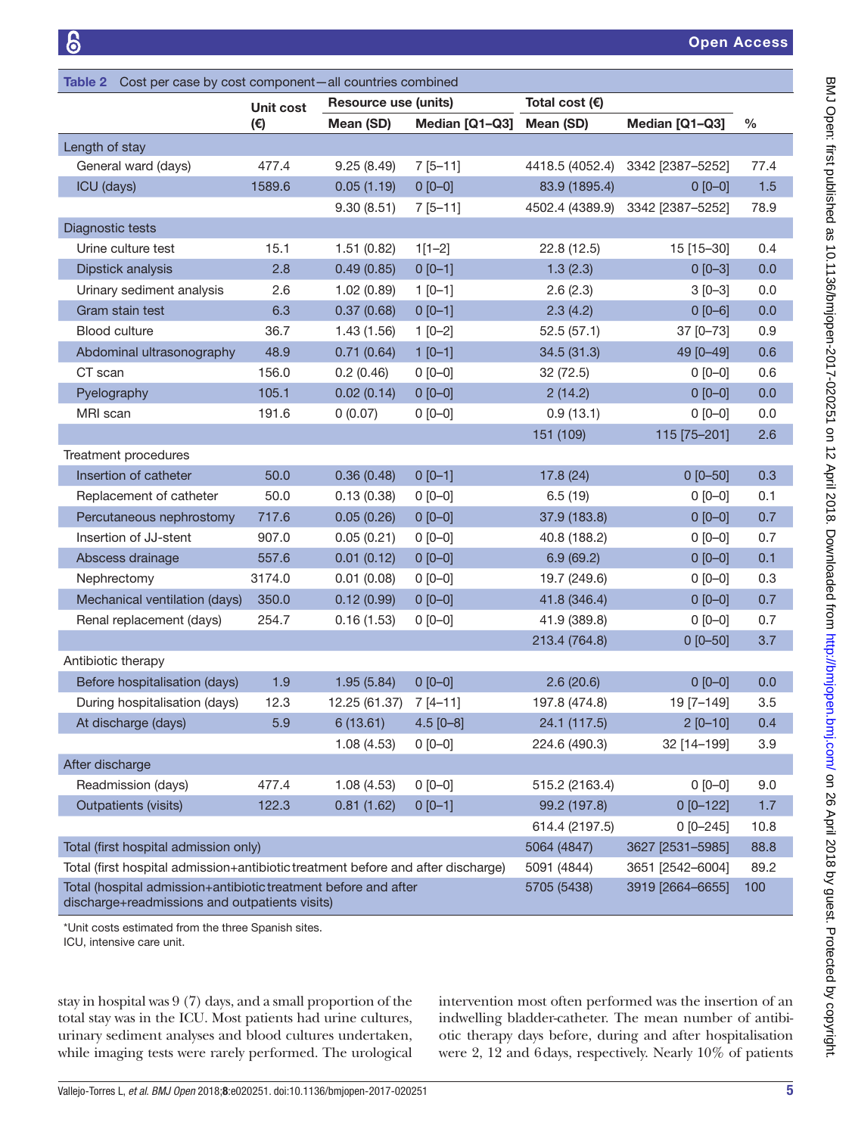<span id="page-4-0"></span>

| Table 2 Cost per case by cost component-all countries combined                                                    |             |                        |                             |                             |                  |      |
|-------------------------------------------------------------------------------------------------------------------|-------------|------------------------|-----------------------------|-----------------------------|------------------|------|
|                                                                                                                   | Unit cost   | Resource use (units)   |                             | Total cost $(\epsilon)$     |                  |      |
|                                                                                                                   | (€)         | Mean (SD)              | Median [Q1-Q3]              | Mean (SD)                   | Median [Q1-Q3]   | $\%$ |
| Length of stay                                                                                                    |             |                        |                             |                             |                  |      |
| General ward (days)                                                                                               | 477.4       | 9.25(8.49)             | $7[5 - 11]$                 | 4418.5 (4052.4)             | 3342 [2387-5252] | 77.4 |
| ICU (days)                                                                                                        | 1589.6      | 0.05(1.19)             | $0 [0 - 0]$                 | 83.9 (1895.4)               | $0 [0-0]$        | 1.5  |
|                                                                                                                   |             | 9.30(8.51)             | $7[5 - 11]$                 | 4502.4 (4389.9)             | 3342 [2387-5252] | 78.9 |
| Diagnostic tests                                                                                                  |             |                        |                             |                             |                  |      |
| Urine culture test                                                                                                | 15.1        | 1.51(0.82)             | $1[1-2]$                    | 22.8(12.5)<br>15 [15-30]    |                  | 0.4  |
| Dipstick analysis                                                                                                 | 2.8         | 0.49(0.85)             | $0 [0 - 1]$                 | 1.3(2.3)                    | $0[0-3]$         | 0.0  |
| Urinary sediment analysis                                                                                         | 2.6         | 1.02(0.89)             | $1[0-1]$                    | 2.6(2.3)<br>$3[0-3]$        |                  | 0.0  |
| Gram stain test                                                                                                   | 6.3         | 0.37(0.68)             | $0[0-1]$                    | 2.3(4.2)                    | $0 [0 - 6]$      | 0.0  |
| Blood culture                                                                                                     | 36.7        | 1.43(1.56)             | $1[0-2]$                    | 52.5(57.1)                  | 37 [0-73]        | 0.9  |
| Abdominal ultrasonography                                                                                         | 48.9        | 0.71(0.64)             | $1[0-1]$                    | 49 [0-49]<br>34.5(31.3)     |                  | 0.6  |
| CT scan                                                                                                           | 156.0       | 0.2(0.46)              | $0 [0 - 0]$                 | 32(72.5)<br>$0 [0-0]$       |                  | 0.6  |
| Pyelography                                                                                                       | 105.1       | 0.02(0.14)             | $0 [0-0]$                   | 2(14.2)                     | $0 [0 - 0]$      | 0.0  |
| MRI scan                                                                                                          | 191.6       | 0(0.07)                | $0 [0-0]$                   | 0.9(13.1)                   | $0 [0 - 0]$      | 0.0  |
|                                                                                                                   |             |                        |                             | 151 (109)                   | 115 [75-201]     | 2.6  |
| Treatment procedures                                                                                              |             |                        |                             |                             |                  |      |
| Insertion of catheter                                                                                             | 50.0        | 0.36(0.48)             | $0 [0 - 1]$                 | 17.8(24)                    | $0$ [0-50]       | 0.3  |
| Replacement of catheter                                                                                           | 50.0        | 0.13(0.38)             | $0 [0 - 0]$                 | 6.5(19)                     | $0 [0 - 0]$      | 0.1  |
| Percutaneous nephrostomy                                                                                          | 717.6       | 0.05(0.26)             | $0 [0-0]$                   | 37.9 (183.8)                | $0 [0 - 0]$      | 0.7  |
| Insertion of JJ-stent                                                                                             | 907.0       | 0.05(0.21)             | $0 [0 - 0]$                 | 40.8 (188.2)                | $0 [0 - 0]$      | 0.7  |
| Abscess drainage                                                                                                  | 557.6       | 0.01(0.12)             | $0 [0 - 0]$                 | 6.9(69.2)                   | $0 [0 - 0]$      | 0.1  |
| Nephrectomy                                                                                                       | 3174.0      | 0.01(0.08)             | $0 [0-0]$                   | 19.7 (249.6)                | $0 [0 - 0]$      | 0.3  |
| Mechanical ventilation (days)                                                                                     | 350.0       | 0.12(0.99)             | $0 [0 - 0]$                 | $0 [0 - 0]$<br>41.8 (346.4) |                  | 0.7  |
| Renal replacement (days)                                                                                          | 254.7       | 0.16(1.53)             | $0 [0-0]$                   | 41.9 (389.8)                | $0 [0 - 0]$      | 0.7  |
|                                                                                                                   |             |                        |                             | 213.4 (764.8)               | $0 [0 - 50]$     | 3.7  |
| Antibiotic therapy                                                                                                |             |                        |                             |                             |                  |      |
| Before hospitalisation (days)                                                                                     | 1.9         | 1.95(5.84)             | $0 [0 - 0]$                 | 2.6(20.6)                   | $0 [0 - 0]$      | 0.0  |
| During hospitalisation (days)                                                                                     | 12.3        | 12.25 (61.37) 7 [4-11] |                             | 197.8 (474.8)               | 19 [7-149]       | 3.5  |
| At discharge (days)                                                                                               | 5.9         | 6(13.61)               | $4.5$ [0-8]                 | 24.1 (117.5)                | $2[0 - 10]$      | 0.4  |
|                                                                                                                   |             | 1.08(4.53)             | $0 [0 - 0]$                 | 224.6 (490.3)               | 32 [14-199]      | 3.9  |
| After discharge                                                                                                   |             |                        |                             |                             |                  |      |
| Readmission (days)                                                                                                | 477.4       | 1.08(4.53)             | $0 [0-0]$                   | 515.2 (2163.4)              | $0 [0 - 0]$      | 9.0  |
| <b>Outpatients (visits)</b>                                                                                       | 122.3       | 0.81(1.62)             | $0 [0 - 1]$<br>99.2 (197.8) |                             | $0[0-122]$       | 1.7  |
|                                                                                                                   |             |                        |                             | 614.4 (2197.5)              | $0 [0 - 245]$    | 10.8 |
| Total (first hospital admission only)                                                                             | 5064 (4847) | 3627 [2531-5985]       | 88.8                        |                             |                  |      |
| Total (first hospital admission+antibiotic treatment before and after discharge)                                  | 5091 (4844) | 3651 [2542-6004]       | 89.2                        |                             |                  |      |
| Total (hospital admission+antibiotic treatment before and after<br>discharge+readmissions and outpatients visits) | 5705 (5438) | 3919 [2664-6655]       | 100                         |                             |                  |      |

\*Unit costs estimated from the three Spanish sites.

ICU, intensive care unit.

stay in hospital was 9 (7) days, and a small proportion of the total stay was in the ICU. Most patients had urine cultures, urinary sediment analyses and blood cultures undertaken, while imaging tests were rarely performed. The urological

intervention most often performed was the insertion of an indwelling bladder-catheter. The mean number of antibiotic therapy days before, during and after hospitalisation were 2, 12 and 6days, respectively. Nearly 10% of patients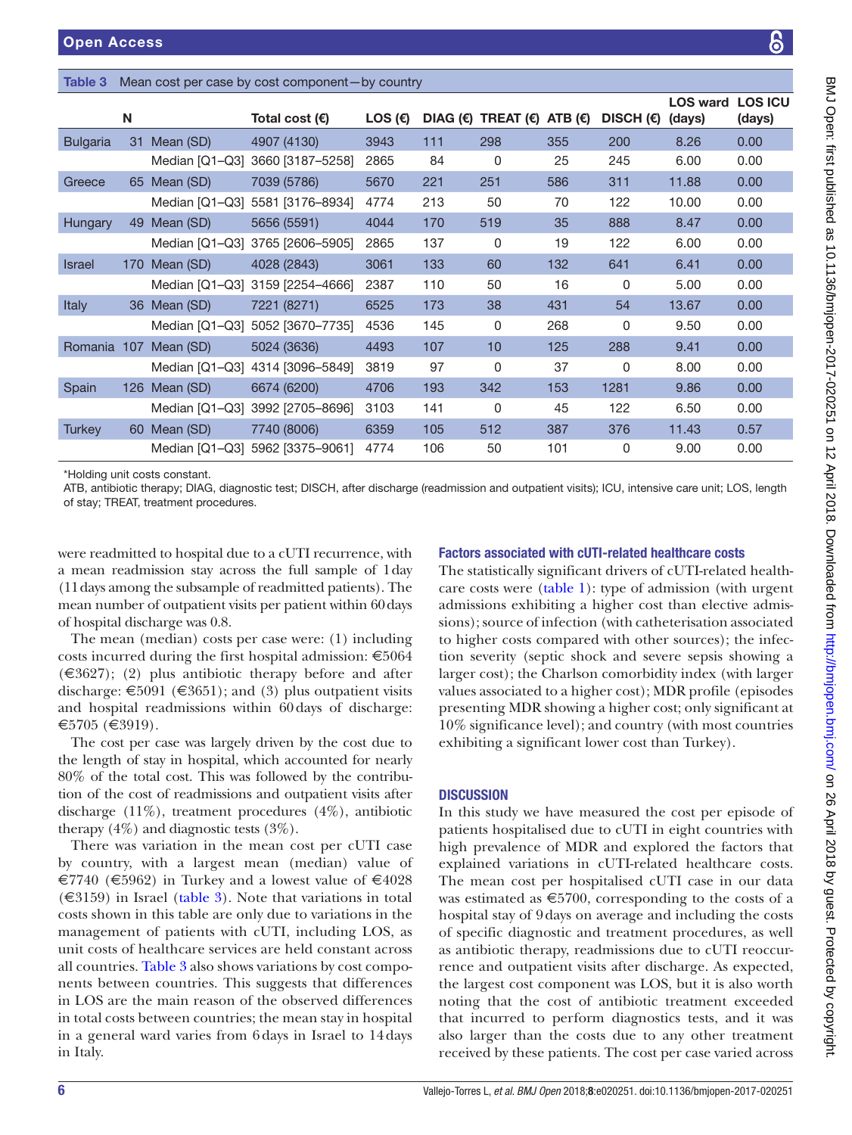<span id="page-5-0"></span>

| Table 3         |   | Mean cost per case by cost component—by country |                                 |      |     |                                                                                                  |     |     |                     |      |
|-----------------|---|-------------------------------------------------|---------------------------------|------|-----|--------------------------------------------------------------------------------------------------|-----|-----|---------------------|------|
|                 | N |                                                 | Total cost $(\epsilon)$         |      |     | LOS $(\epsilon)$ DIAG $(\epsilon)$ TREAT $(\epsilon)$ ATB $(\epsilon)$ DISCH $(\epsilon)$ (days) |     |     | <b>LOS ward LOS</b> | (day |
| <b>Bulgaria</b> |   | 31 Mean (SD)                                    | 4907 (4130)                     | 3943 | 111 | 298                                                                                              | 355 | 200 | 8.26                | 0.00 |
|                 |   |                                                 | Median [Q1-Q3] 3660 [3187-5258] | 2865 | 84  | 0                                                                                                | 25  | 245 | 6.00                | 0.00 |
| Greece          |   | 65 Mean (SD)                                    | 7039 (5786)                     | 5670 | 221 | 251                                                                                              | 586 | 311 | 11.88               | 0.00 |

Median [Q1-Q3] 3992 [2705-8696] 3103 141 0 45 122 6.50 0.00 Turkey 60 Mean (SD) 7740 (8006) 6359 105 512 387 376 11.43 0.57 Median [Q1-Q3] 5962 [3375-9061] 4774 106 50 101 0 9.00 0.00 \*Holding unit costs constant. ATB, antibiotic therapy; DIAG, diagnostic test; DISCH, after discharge (readmission and outpatient visits); ICU, intensive care unit; LOS, length of stay; TREAT, treatment procedures.

were readmitted to hospital due to a cUTI recurrence, with a mean readmission stay across the full sample of 1day (11days among the subsample of readmitted patients). The mean number of outpatient visits per patient within 60days of hospital discharge was 0.8.

The mean (median) costs per case were: (1) including costs incurred during the first hospital admission:  $\epsilon$ 5064  $(63627)$ ; (2) plus antibiotic therapy before and after discharge:  $\epsilon$ 5091 ( $\epsilon$ 3651); and (3) plus outpatient visits and hospital readmissions within 60days of discharge:  $€5705 ($919)$ .

The cost per case was largely driven by the cost due to the length of stay in hospital, which accounted for nearly 80% of the total cost. This was followed by the contribution of the cost of readmissions and outpatient visits after discharge (11%), treatment procedures (4%), antibiotic therapy  $(4\%)$  and diagnostic tests  $(3\%)$ .

There was variation in the mean cost per cUTI case by country, with a largest mean (median) value of  $€7740$  (€5962) in Turkey and a lowest value of €4028  $(\text{\textless}3159)$  in Israel [\(table](#page-5-0) 3). Note that variations in total costs shown in this table are only due to variations in the management of patients with cUTI, including LOS, as unit costs of healthcare services are held constant across all countries. [Table](#page-5-0) 3 also shows variations by cost components between countries. This suggests that differences in LOS are the main reason of the observed differences in total costs between countries; the mean stay in hospital in a general ward varies from 6days in Israel to 14days in Italy.

## Factors associated with cUTI-related healthcare costs

The statistically significant drivers of cUTI-related healthcare costs were ([table](#page-3-0) 1): type of admission (with urgent admissions exhibiting a higher cost than elective admissions); source of infection (with catheterisation associated to higher costs compared with other sources); the infection severity (septic shock and severe sepsis showing a larger cost); the Charlson comorbidity index (with larger values associated to a higher cost); MDR profile (episodes presenting MDR showing a higher cost; only significant at 10% significance level); and country (with most countries exhibiting a significant lower cost than Turkey).

## **DISCUSSION**

Median [Q1–Q3] 5581 [3176–8934] 4774 213 50 70 122 10.00 0.00

Median [Q1–Q3] 3765 [2606–5905] 2865 137 0 19 122 6.00 0.00

Median [Q1-Q3] 3159 [2254-4666] 2387 110 50 16 0 5.00 0.00

Median [Q1–Q3] 5052 [3670–7735] 4536 145 0 268 0 9.50 0.00

Median [Q1–Q3] 4314 [3096–5849] 3819 97 0 37 0 8.00 0.00

Hungary 49 Mean (SD) 5656 (5591) 4044 170 519 35 888 8.47 0.00

Israel 170 Mean (SD) 4028 (2843) 3061 133 60 132 641 6.41 0.00

Italy 36 Mean (SD) 7221 (8271) 6525 173 38 431 54 13.67 0.00

Romania 107 Mean (SD) 5024 (3636) 4493 107 10 125 288 9.41 0.00

Spain 126 Mean (SD) 6674 (6200) 4706 193 342 153 1281 9.86 0.00

In this study we have measured the cost per episode of patients hospitalised due to cUTI in eight countries with high prevalence of MDR and explored the factors that explained variations in cUTI-related healthcare costs. The mean cost per hospitalised cUTI case in our data was estimated as  $\epsilon$ 5700, corresponding to the costs of a hospital stay of 9days on average and including the costs of specific diagnostic and treatment procedures, as well as antibiotic therapy, readmissions due to cUTI reoccurrence and outpatient visits after discharge. As expected, the largest cost component was LOS, but it is also worth noting that the cost of antibiotic treatment exceeded that incurred to perform diagnostics tests, and it was also larger than the costs due to any other treatment received by these patients. The cost per case varied across

LOS ward LOS ICU

(days)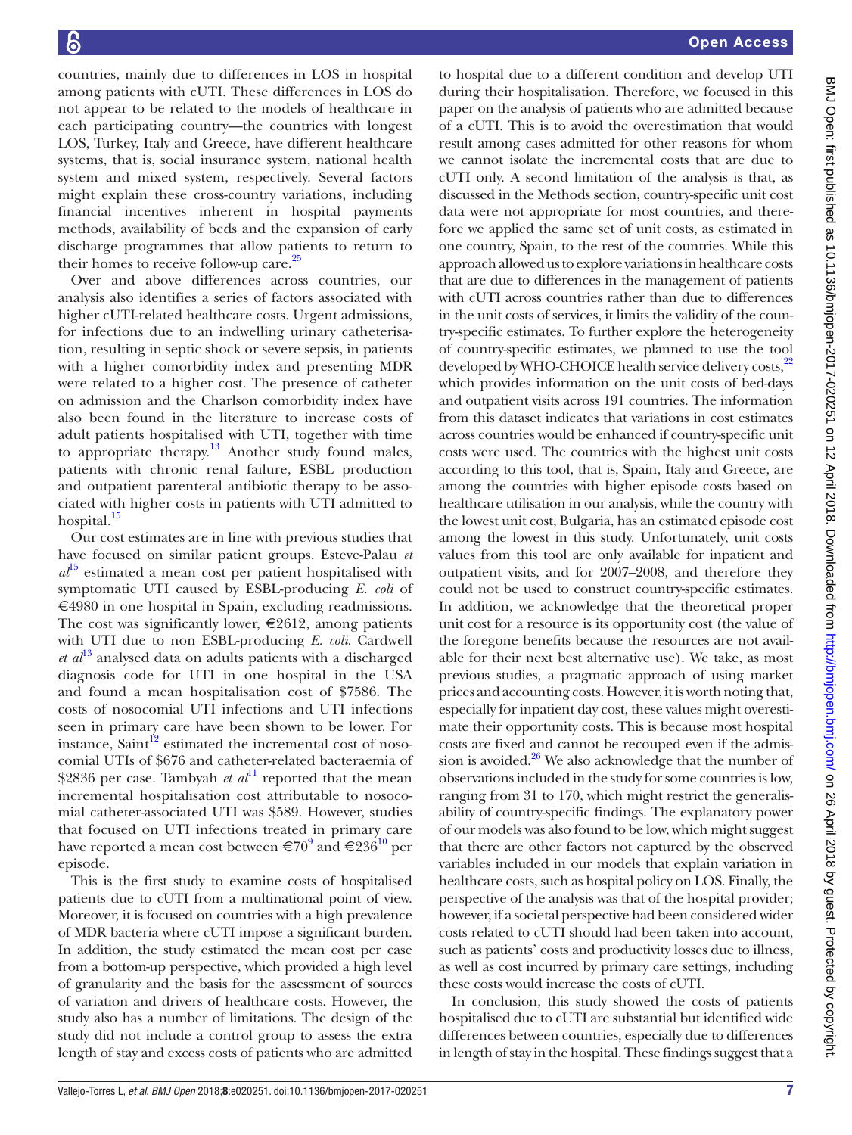countries, mainly due to differences in LOS in hospital among patients with cUTI. These differences in LOS do not appear to be related to the models of healthcare in each participating country—the countries with longest LOS, Turkey, Italy and Greece, have different healthcare systems, that is, social insurance system, national health system and mixed system, respectively. Several factors might explain these cross-country variations, including financial incentives inherent in hospital payments methods, availability of beds and the expansion of early discharge programmes that allow patients to return to their homes to receive follow-up care.<sup>25</sup>

Over and above differences across countries, our analysis also identifies a series of factors associated with higher cUTI-related healthcare costs. Urgent admissions, for infections due to an indwelling urinary catheterisation, resulting in septic shock or severe sepsis, in patients with a higher comorbidity index and presenting MDR were related to a higher cost. The presence of catheter on admission and the Charlson comorbidity index have also been found in the literature to increase costs of adult patients hospitalised with UTI, together with time to appropriate therapy. $13$  Another study found males, patients with chronic renal failure, ESBL production and outpatient parenteral antibiotic therapy to be associated with higher costs in patients with UTI admitted to hospital.<sup>[15](#page-7-16)</sup>

Our cost estimates are in line with previous studies that have focused on similar patient groups. Esteve-Palau *et*   $a^{15}$  estimated a mean cost per patient hospitalised with symptomatic UTI caused by ESBL-producing *E. coli* of €4980 in one hospital in Spain, excluding readmissions. The cost was significantly lower,  $\epsilon$ 2612, among patients with UTI due to non ESBL-producing *E. coli*. Cardwell *et al*[13](#page-7-8) analysed data on adults patients with a discharged diagnosis code for UTI in one hospital in the USA and found a mean hospitalisation cost of \$7586. The costs of nosocomial UTI infections and UTI infections seen in primary care have been shown to be lower. For instance, Saint<sup>12</sup> estimated the incremental cost of nosocomial UTIs of \$676 and catheter-related bacteraemia of \$2836 per case. Tambyah *et al*<sup>[11](#page-7-7)</sup> reported that the mean incremental hospitalisation cost attributable to nosocomial catheter-associated UTI was \$589. However, studies that focused on UTI infections treated in primary care have reported a mean cost between  $\textnormal{\'{e}70}^{\textnormal{9}}$  and  $\textnormal{\'{e}236}^{\textnormal{10}}$  $\textnormal{\'{e}236}^{\textnormal{10}}$  $\textnormal{\'{e}236}^{\textnormal{10}}$  per episode.

This is the first study to examine costs of hospitalised patients due to cUTI from a multinational point of view. Moreover, it is focused on countries with a high prevalence of MDR bacteria where cUTI impose a significant burden. In addition, the study estimated the mean cost per case from a bottom-up perspective, which provided a high level of granularity and the basis for the assessment of sources of variation and drivers of healthcare costs. However, the study also has a number of limitations. The design of the study did not include a control group to assess the extra length of stay and excess costs of patients who are admitted

to hospital due to a different condition and develop UTI during their hospitalisation. Therefore, we focused in this paper on the analysis of patients who are admitted because of a cUTI. This is to avoid the overestimation that would result among cases admitted for other reasons for whom we cannot isolate the incremental costs that are due to cUTI only. A second limitation of the analysis is that, as discussed in the Methods section, country-specific unit cost data were not appropriate for most countries, and therefore we applied the same set of unit costs, as estimated in one country, Spain, to the rest of the countries. While this approach allowed us to explore variations in healthcare costs that are due to differences in the management of patients with cUTI across countries rather than due to differences in the unit costs of services, it limits the validity of the country-specific estimates. To further explore the heterogeneity of country-specific estimates, we planned to use the tool developed by WHO-CHOICE health service delivery costs,<sup>22</sup> which provides information on the unit costs of bed-days and outpatient visits across 191 countries. The information from this dataset indicates that variations in cost estimates across countries would be enhanced if country-specific unit costs were used. The countries with the highest unit costs according to this tool, that is, Spain, Italy and Greece, are among the countries with higher episode costs based on healthcare utilisation in our analysis, while the country with the lowest unit cost, Bulgaria, has an estimated episode cost among the lowest in this study. Unfortunately, unit costs values from this tool are only available for inpatient and outpatient visits, and for 2007–2008, and therefore they could not be used to construct country-specific estimates. In addition, we acknowledge that the theoretical proper unit cost for a resource is its opportunity cost (the value of the foregone benefits because the resources are not available for their next best alternative use). We take, as most previous studies, a pragmatic approach of using market prices and accounting costs. However, it is worth noting that, especially for inpatient day cost, these values might overestimate their opportunity costs. This is because most hospital costs are fixed and cannot be recouped even if the admission is avoided.<sup>26</sup> We also acknowledge that the number of observations included in the study for some countries is low, ranging from 31 to 170, which might restrict the generalisability of country-specific findings. The explanatory power of our models was also found to be low, which might suggest that there are other factors not captured by the observed variables included in our models that explain variation in healthcare costs, such as hospital policy on LOS. Finally, the perspective of the analysis was that of the hospital provider; however, if a societal perspective had been considered wider costs related to cUTI should had been taken into account, such as patients' costs and productivity losses due to illness, as well as cost incurred by primary care settings, including these costs would increase the costs of cUTI.

In conclusion, this study showed the costs of patients hospitalised due to cUTI are substantial but identified wide differences between countries, especially due to differences in length of stay in the hospital. These findings suggest that a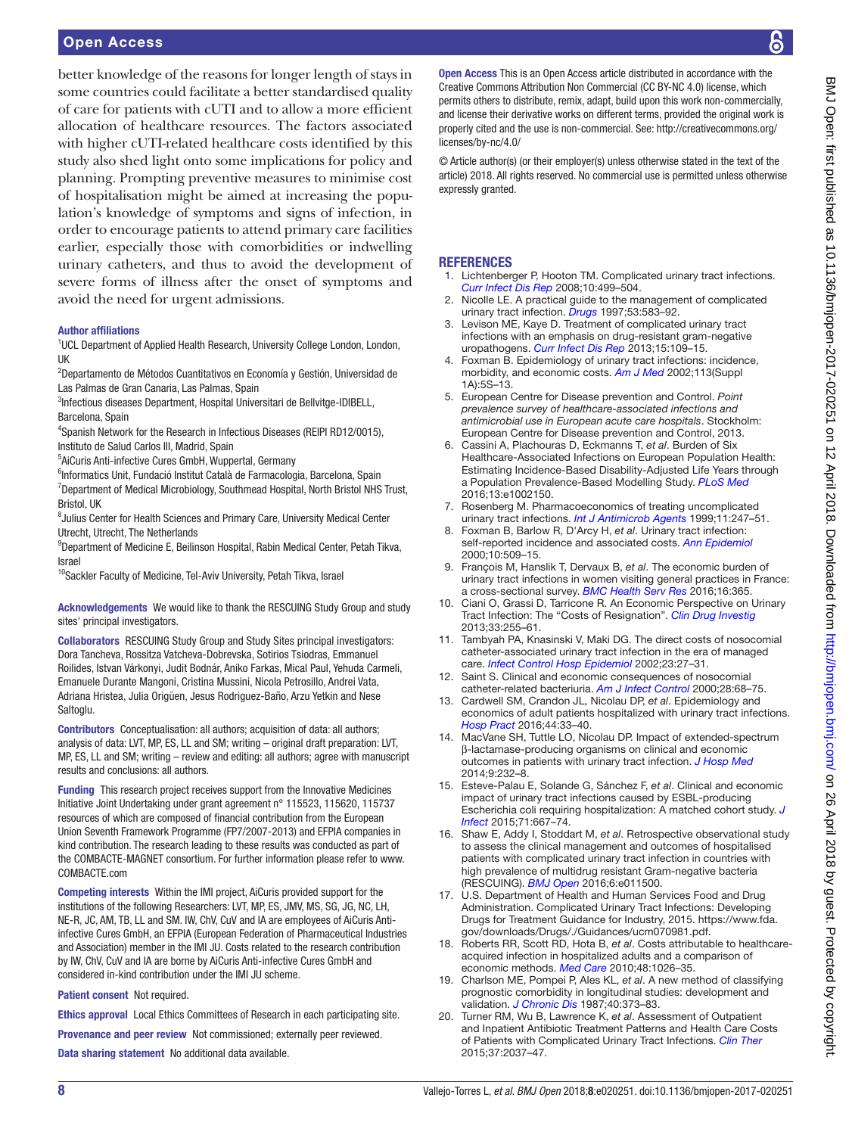## Open Access

better knowledge of the reasons for longer length of stays in some countries could facilitate a better standardised quality of care for patients with cUTI and to allow a more efficient allocation of healthcare resources. The factors associated with higher cUTI-related healthcare costs identified by this study also shed light onto some implications for policy and planning. Prompting preventive measures to minimise cost of hospitalisation might be aimed at increasing the population's knowledge of symptoms and signs of infection, in order to encourage patients to attend primary care facilities earlier, especially those with comorbidities or indwelling urinary catheters, and thus to avoid the development of severe forms of illness after the onset of symptoms and avoid the need for urgent admissions.

#### Author affiliations

<sup>1</sup>UCL Department of Applied Health Research, University College London, London, UK

2 Departamento de Métodos Cuantitativos en Economía y Gestión, Universidad de Las Palmas de Gran Canaria, Las Palmas, Spain

3 Infectious diseases Department, Hospital Universitari de Bellvitge-IDIBELL, Barcelona, Spain

<sup>4</sup>Spanish Network for the Research in Infectious Diseases (REIPI RD12/0015), Instituto de Salud Carlos III, Madrid, Spain

5 AiCuris Anti-infective Cures GmbH, Wuppertal, Germany

<sup>6</sup>Informatics Unit, Fundació Institut Català de Farmacologia, Barcelona, Spain

<sup>7</sup>Department of Medical Microbiology, Southmead Hospital, North Bristol NHS Trust, Bristol, UK

<sup>8</sup> Julius Center for Health Sciences and Primary Care, University Medical Center Utrecht, Utrecht, The Netherlands

9 Department of Medicine E, Beilinson Hospital, Rabin Medical Center, Petah Tikva, Israel

<sup>10</sup>Sackler Faculty of Medicine, Tel-Aviv University, Petah Tikva, Israel

Acknowledgements We would like to thank the RESCUING Study Group and study sites' principal investigators.

Collaborators RESCUING Study Group and Study Sites principal investigators: Dora Tancheva, Rossitza Vatcheva-Dobrevska, Sotirios Tsiodras, Emmanuel Roilides, Istvan Várkonyi, Judit Bodnár, Aniko Farkas, Mical Paul, Yehuda Carmeli, Emanuele Durante Mangoni, Cristina Mussini, Nicola Petrosillo, Andrei Vata, Adriana Hristea, Julia Origüen, Jesus Rodriguez-Baño, Arzu Yetkin and Nese Saltoglu.

Contributors Conceptualisation: all authors; acquisition of data: all authors; analysis of data: LVT, MP, ES, LL and SM; writing – original draft preparation: LVT, MP, ES, LL and SM; writing – review and editing: all authors; agree with manuscript results and conclusions: all authors.

Funding This research project receives support from the Innovative Medicines Initiative Joint Undertaking under grant agreement n° 115523, 115620, 115737 resources of which are composed of financial contribution from the European Union Seventh Framework Programme (FP7/2007-2013) and EFPIA companies in kind contribution. The research leading to these results was conducted as part of the COMBACTE-MAGNET consortium. For further information please refer to [www.](www.COMBACTE.com) [COMBACTE.com](www.COMBACTE.com)

Competing interests Within the IMI project, AiCuris provided support for the institutions of the following Researchers: LVT, MP, ES, JMV, MS, SG, JG, NC, LH, NE-R, JC, AM, TB, LL and SM. IW, ChV, CuV and IA are employees of AiCuris Antiinfective Cures GmbH, an EFPIA (European Federation of Pharmaceutical Industries and Association) member in the IMI JU. Costs related to the research contribution by IW, ChV, CuV and IA are borne by AiCuris Anti-infective Cures GmbH and considered in-kind contribution under the IMI JU scheme.

Patient consent Not required.

Ethics approval Local Ethics Committees of Research in each participating site.

Provenance and peer review Not commissioned; externally peer reviewed.

Data sharing statement No additional data available.

Open Access This is an Open Access article distributed in accordance with the Creative Commons Attribution Non Commercial (CC BY-NC 4.0) license, which permits others to distribute, remix, adapt, build upon this work non-commercially, and license their derivative works on different terms, provided the original work is properly cited and the use is non-commercial. See: [http://creativecommons.org/](http://creativecommons.org/licenses/by-nc/4.0/) [licenses/by-nc/4.0/](http://creativecommons.org/licenses/by-nc/4.0/)

© Article author(s) (or their employer(s) unless otherwise stated in the text of the article) 2018. All rights reserved. No commercial use is permitted unless otherwise expressly granted.

#### **REFERENCES**

- <span id="page-7-0"></span>1. Lichtenberger P, Hooton TM. Complicated urinary tract infections. *[Curr Infect Dis Rep](http://dx.doi.org/10.1007/s11908-008-0081-0)* 2008;10:499–504.
- <span id="page-7-1"></span>2. Nicolle LE. A practical guide to the management of complicated urinary tract infection. *[Drugs](http://dx.doi.org/10.2165/00003495-199753040-00004)* 1997;53:583–92.
- <span id="page-7-2"></span>3. Levison ME, Kaye D. Treatment of complicated urinary tract infections with an emphasis on drug-resistant gram-negative uropathogens. *[Curr Infect Dis Rep](http://dx.doi.org/10.1007/s11908-013-0315-7)* 2013;15:109–15.
- <span id="page-7-3"></span>4. Foxman B. Epidemiology of urinary tract infections: incidence, morbidity, and economic costs. *[Am J Med](http://www.ncbi.nlm.nih.gov/pubmed/12113866)* 2002;113(Suppl 1A):5S–13.
- <span id="page-7-4"></span>5. European Centre for Disease prevention and Control. *Point prevalence survey of healthcare-associated infections and antimicrobial use in European acute care hospitals*. Stockholm: European Centre for Disease prevention and Control, 2013.
- <span id="page-7-5"></span>6. Cassini A, Plachouras D, Eckmanns T, *et al*. Burden of Six Healthcare-Associated Infections on European Population Health: Estimating Incidence-Based Disability-Adjusted Life Years through a Population Prevalence-Based Modelling Study. *[PLoS Med](http://dx.doi.org/10.1371/journal.pmed.1002150)* 2016;13:e1002150.
- <span id="page-7-6"></span>Rosenberg M. Pharmacoeconomics of treating uncomplicated urinary tract infections. *[Int J Antimicrob Agents](http://dx.doi.org/10.1016/S0924-8579(99)00024-2)* 1999;11:247–51.
- 8. Foxman B, Barlow R, D'Arcy H, *et al*. Urinary tract infection: self-reported incidence and associated costs. *[Ann Epidemiol](http://www.ncbi.nlm.nih.gov/pubmed/11118930)* 2000;10:509–15.
- <span id="page-7-9"></span>9. François M, Hanslik T, Dervaux B, *et al*. The economic burden of urinary tract infections in women visiting general practices in France: a cross-sectional survey. *[BMC Health Serv Res](http://dx.doi.org/10.1186/s12913-016-1620-2)* 2016;16:365.
- <span id="page-7-18"></span>10. Ciani O, Grassi D, Tarricone R. An Economic Perspective on Urinary Tract Infection: The "Costs of Resignation". *[Clin Drug Investig](http://dx.doi.org/10.1007/s40261-013-0069-x)* 2013;33:255–61.
- <span id="page-7-7"></span>11. Tambyah PA, Knasinski V, Maki DG. The direct costs of nosocomial catheter-associated urinary tract infection in the era of managed care. *[Infect Control Hosp Epidemiol](http://dx.doi.org/10.1086/501964)* 2002;23:27–31.
- <span id="page-7-17"></span>12. Saint S. Clinical and economic consequences of nosocomial catheter-related bacteriuria. *[Am J Infect Control](http://dx.doi.org/10.1016/S0196-6553(00)90015-4)* 2000;28:68–75.
- <span id="page-7-8"></span>13. Cardwell SM, Crandon JL, Nicolau DP, *et al*. Epidemiology and economics of adult patients hospitalized with urinary tract infections. *[Hosp Pract](http://dx.doi.org/10.1080/21548331.2016.1133214)* 2016;44:33–40.
- <span id="page-7-10"></span>14. MacVane SH, Tuttle LO, Nicolau DP. Impact of extended-spectrum β-lactamase-producing organisms on clinical and economic outcomes in patients with urinary tract infection. *[J Hosp Med](http://dx.doi.org/10.1002/jhm.2157)* 2014;9:232–8.
- <span id="page-7-16"></span>15. Esteve-Palau E, Solande G, Sánchez F, *et al*. Clinical and economic impact of urinary tract infections caused by ESBL-producing Escherichia coli requiring hospitalization: A matched cohort study. *[J](http://dx.doi.org/10.1016/j.jinf.2015.08.012)  [Infect](http://dx.doi.org/10.1016/j.jinf.2015.08.012)* 2015;71:667–74.
- <span id="page-7-11"></span>16. Shaw E, Addy I, Stoddart M, *et al*. Retrospective observational study to assess the clinical management and outcomes of hospitalised patients with complicated urinary tract infection in countries with high prevalence of multidrug resistant Gram-negative bacteria (RESCUING). *[BMJ Open](http://dx.doi.org/10.1136/bmjopen-2016-011500)* 2016;6:e011500.
- <span id="page-7-12"></span>17. U.S. Department of Health and Human Services Food and Drug Administration. Complicated Urinary Tract Infections: Developing Drugs for Treatment Guidance for Industry, 2015. [https://www.fda.](https://www.fda.gov/downloads/Drugs/./Guidances/ucm070981.pdf) [gov/downloads/Drugs/./Guidances/ucm070981.pdf](https://www.fda.gov/downloads/Drugs/./Guidances/ucm070981.pdf).
- <span id="page-7-13"></span>18. Roberts RR, Scott RD, Hota B, *et al*. Costs attributable to healthcareacquired infection in hospitalized adults and a comparison of economic methods. *[Med Care](http://dx.doi.org/10.1097/MLR.0b013e3181ef60a2)* 2010;48:1026–35.
- <span id="page-7-14"></span>19. Charlson ME, Pompei P, Ales KL, *et al*. A new method of classifying prognostic comorbidity in longitudinal studies: development and validation. *[J Chronic Dis](http://dx.doi.org/10.1016/0021-9681(87)90171-8)* 1987;40:373–83.
- <span id="page-7-15"></span>20. Turner RM, Wu B, Lawrence K, *et al*. Assessment of Outpatient and Inpatient Antibiotic Treatment Patterns and Health Care Costs of Patients with Complicated Urinary Tract Infections. *[Clin Ther](http://dx.doi.org/10.1016/j.clinthera.2015.06.013)* 2015;37:2037–47.